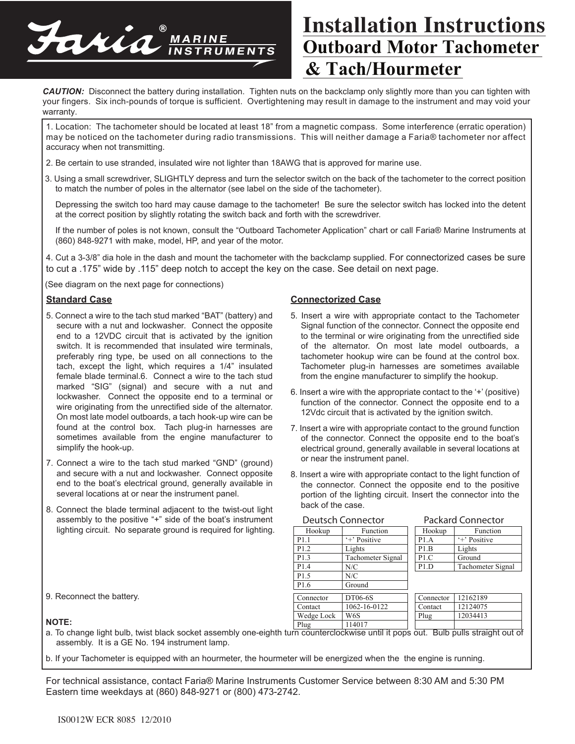

## **Outboard Motor Tachometer & Tach/Hourmeter Installation Instructions**

*CAUTION:* Disconnect the battery during installation. Tighten nuts on the backclamp only slightly more than you can tighten with your fingers. Six inch-pounds of torque is sufficient. Overtightening may result in damage to the instrument and may void your warranty.

1. Location: The tachometer should be located at least 18" from a magnetic compass. Some interference (erratic operation) may be noticed on the tachometer during radio transmissions. This will neither damage a Faria® tachometer nor affect accuracy when not transmitting.

- 2. Be certain to use stranded, insulated wire not lighter than 18AWG that is approved for marine use.
- 3. Using a small screwdriver, SLIGHTLY depress and turn the selector switch on the back of the tachometer to the correct position to match the number of poles in the alternator (see label on the side of the tachometer).

Depressing the switch too hard may cause damage to the tachometer! Be sure the selector switch has locked into the detent at the correct position by slightly rotating the switch back and forth with the screwdriver.

If the number of poles is not known, consult the "Outboard Tachometer Application" chart or call Faria® Marine Instruments at (860) 848-9271 with make, model, HP, and year of the motor.

4. Cut a 3-3/8" dia hole in the dash and mount the tachometer with the backclamp supplied. For connectorized cases be sure to cut a .175" wide by .115" deep notch to accept the key on the case. See detail on next page.

(See diagram on the next page for connections)

#### **Standard Case**

- 5. Connect a wire to the tach stud marked "BAT" (battery) and secure with a nut and lockwasher. Connect the opposite end to a 12VDC circuit that is activated by the ignition switch. It is recommended that insulated wire terminals, preferably ring type, be used on all connections to the tach, except the light, which requires a 1/4" insulated female blade terminal.6. Connect a wire to the tach stud marked "SIG" (signal) and secure with a nut and lockwasher. Connect the opposite end to a terminal or wire originating from the unrectified side of the alternator. On most late model outboards, a tach hook-up wire can be found at the control box. Tach plug-in harnesses are sometimes available from the engine manufacturer to simplify the hook-up.
- 7. Connect a wire to the tach stud marked "GND" (ground) and secure with a nut and lockwasher. Connect opposite end to the boat's electrical ground, generally available in several locations at or near the instrument panel.
- 8. Connect the blade terminal adjacent to the twist-out light assembly to the positive "+" side of the boat's instrument lighting circuit. No separate ground is required for lighting.

### **Connectorized Case**

- 5. Insert a wire with appropriate contact to the Tachometer Signal function of the connector. Connect the opposite end to the terminal or wire originating from the unrectified side of the alternator. On most late model outboards, a tachometer hookup wire can be found at the control box. Tachometer plug-in harnesses are sometimes available from the engine manufacturer to simplify the hookup.
- 6. Insert a wire with the appropriate contact to the '+' (positive) function of the connector. Connect the opposite end to a 12Vdc circuit that is activated by the ignition switch.
- 7. Insert a wire with appropriate contact to the ground function of the connector. Connect the opposite end to the boat's electrical ground, generally available in several locations at or near the instrument panel.
- 8. Insert a wire with appropriate contact to the light function of the connector. Connect the opposite end to the positive portion of the lighting circuit. Insert the connector into the back of the case.

| <b>Deutsch Connector</b> |                   | <b>Packard Connector</b> |                   |  |
|--------------------------|-------------------|--------------------------|-------------------|--|
| Hookup                   | Function          | Hookup                   | Function          |  |
| P <sub>1.1</sub>         | '+' Positive      | P1.A                     | '+' Positive      |  |
| P <sub>1.2</sub>         | Lights            | P1.B                     | Lights            |  |
| P <sub>1.3</sub>         | Tachometer Signal | P1.C                     | Ground            |  |
| P1.4                     | N/C               | P1.D                     | Tachometer Signal |  |
| P <sub>1.5</sub>         | N/C               |                          |                   |  |
| P <sub>1.6</sub>         | Ground            |                          |                   |  |
| Connector                | DT06-6S           | Connector                | 12162189          |  |
| Contact                  | 1062-16-0122      | Contact                  | 12124075          |  |
| Wedge Lock               | W6S               | Plug                     | 12034413          |  |
| Plug                     | 114017            |                          |                   |  |

9. Reconnect the battery.

#### **NOTE:**

a. To change light bulb, twist black socket assembly one-eighth turn counterclockwise until it pops out. Bulb pulls straight out of assembly. It is a GE No. 194 instrument lamp.

b. If your Tachometer is equipped with an hourmeter, the hourmeter will be energized when the the engine is running.

For technical assistance, contact Faria® Marine Instruments Customer Service between 8:30 AM and 5:30 PM Eastern time weekdays at (860) 848-9271 or (800) 473-2742.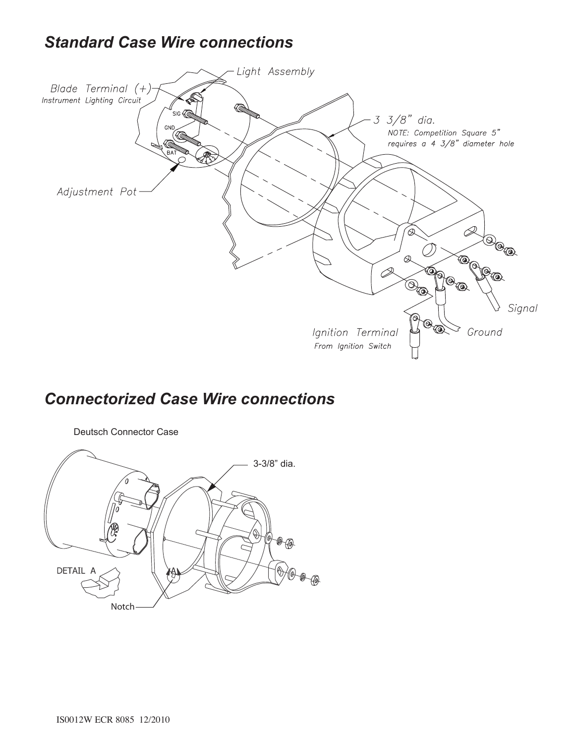## *Standard Case Wire connections*



## *Connectorized Case Wire connections*



IS0012W ECR 8085 12/2010